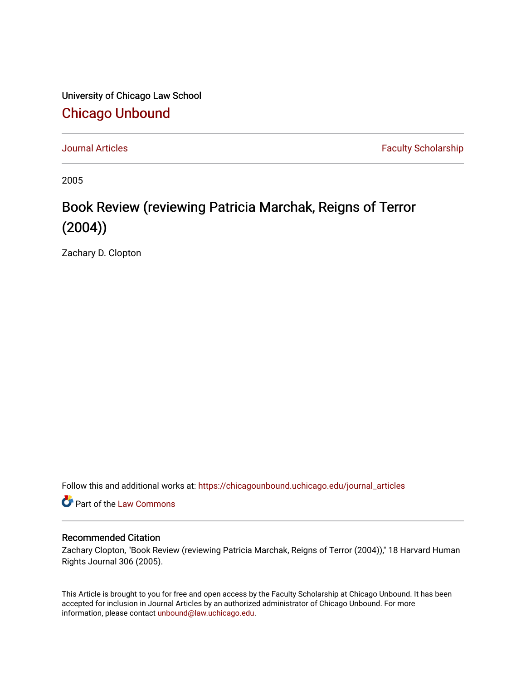University of Chicago Law School [Chicago Unbound](https://chicagounbound.uchicago.edu/)

[Journal Articles](https://chicagounbound.uchicago.edu/journal_articles) **Faculty Scholarship Journal Articles** 

2005

## Book Review (reviewing Patricia Marchak, Reigns of Terror (2004))

Zachary D. Clopton

Follow this and additional works at: [https://chicagounbound.uchicago.edu/journal\\_articles](https://chicagounbound.uchicago.edu/journal_articles?utm_source=chicagounbound.uchicago.edu%2Fjournal_articles%2F2777&utm_medium=PDF&utm_campaign=PDFCoverPages) 

Part of the [Law Commons](http://network.bepress.com/hgg/discipline/578?utm_source=chicagounbound.uchicago.edu%2Fjournal_articles%2F2777&utm_medium=PDF&utm_campaign=PDFCoverPages)

## Recommended Citation

Zachary Clopton, "Book Review (reviewing Patricia Marchak, Reigns of Terror (2004))," 18 Harvard Human Rights Journal 306 (2005).

This Article is brought to you for free and open access by the Faculty Scholarship at Chicago Unbound. It has been accepted for inclusion in Journal Articles by an authorized administrator of Chicago Unbound. For more information, please contact [unbound@law.uchicago.edu](mailto:unbound@law.uchicago.edu).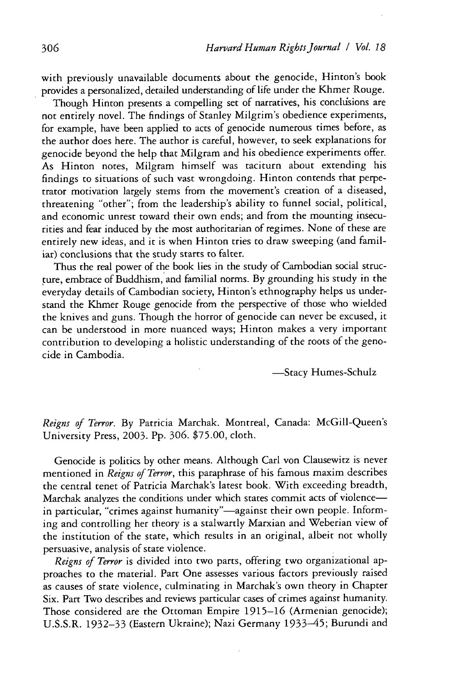with previously unavailable documents about the genocide, Hinton's book provides a personalized, detailed understanding of life under the Khmer Rouge.

Though Hinton presents a compelling set of narratives, his conclusions are not entirely novel. The findings of Stanley Milgrim's obedience experiments, for example, have been applied to acts of genocide numerous times before, as the author does here. The author is careful, however, to seek explanations for genocide beyond the help that Milgram and his obedience experiments offer. As Hinton notes, Milgram himself was taciturn about extending his findings to situations of such vast wrongdoing. Hinton contends that perpetrator motivation largely stems from the movement's creation of a diseased, threatening "other"; from the leadership's ability to funnel social, political, and economic unrest toward their own ends; and from the mounting insecurities and fear induced by the most authoritarian of regimes. None of these are entirely new ideas, and it is when Hinton tries to draw sweeping (and familiar) conclusions that the study starts to falter.

Thus the real power of the book lies in the study of Cambodian social structure, embrace of Buddhism, and familial norms. By grounding his study in the everyday details of Cambodian society, Hinton's ethnography helps us understand the Khmer Rouge genocide from the perspective of those who wielded the knives and guns. Though the horror of genocide can never be excused, it can be understood in more nuanced ways; Hinton makes a very important contribution to developing a holistic understanding of the roots of the genocide in Cambodia.

-Stacy Humes-Schulz

*Reigns of Terror.* By Patricia Marchak. Montreal, Canada: McGill-Queen's University Press, 2003. Pp. 306. \$75.00, cloth.

Genocide is politics by other means. Although Carl von Clausewitz is never mentioned in *Reigns of Terror,* this paraphrase of his famous maxim describes the central tenet of Patricia Marchak's latest book. With exceeding breadth, Marchak analyzes the conditions under which states commit acts of violencein particular, "crimes against humanity"-against their own people. Informing and controlling her theory is a stalwartly Marxian and Weberian view of the institution of the state, which results in an original, albeit not wholly persuasive, analysis of state violence.

*Reigns of Terror* is divided into two parts, offering two organizational approaches to the material. Part One assesses various factors previously raised as causes of state violence, culminating in Marchak's own theory in Chapter Six. Part Two describes and reviews particular cases of crimes against humanity. Those considered are the Ottoman Empire 1915-16 (Armenian genocide); U.S.S.R. 1932-33 (Eastern Ukraine); Nazi Germany 1933-45; Burundi and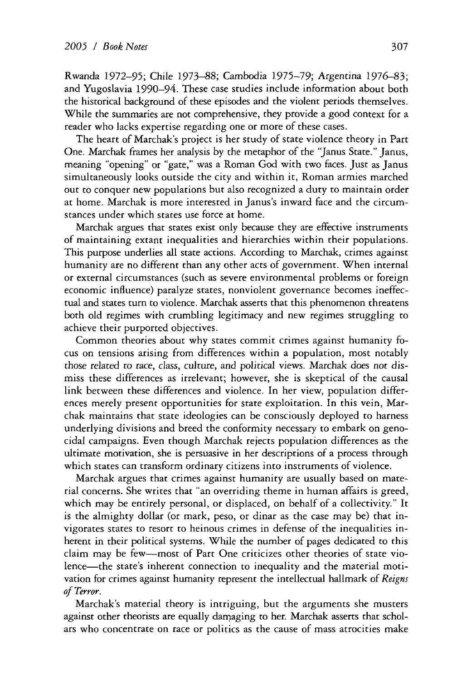Rwanda 1972-95; Chile 1973-88; Cambodia 1975-79; Argentina 1976-83; and Yugoslavia 1990-94. These case studies include information about both the historical background of these episodes and the violent periods themselves. While the summaries are not comprehensive, they provide a good context for a reader who lacks expertise regarding one or more of these cases.

The heart of Marchak's project is her study of state violence theory in Part One. Marchak frames her analysis by the metaphor of the "Janus State." Janus, meaning "opening" or "gate," was a Roman God with two faces. Just as Janus simultaneously looks outside the city and within it, Roman armies marched out to conquer new populations but also recognized a duty to maintain order at home. Marchak is more interested in Janus's inward face and the circumstances under which states use force at home.

Marchak argues that states exist only because they are effective instruments of maintaining extant inequalities and hierarchies within their populations. This purpose underlies all state actions. According to Marchak, crimes against humanity are no different than any other acts of government. When internal or external circumstances (such as severe environmental problems or foreign economic influence) paralyze states, nonviolent governance becomes ineffectual and states turn to violence. Marchak asserts that this phenomenon threatens both old regimes with crumbling legitimacy and new regimes struggling to achieve their purported objectives.

Common theories about why states commit crimes against humanity focus on tensions arising from differences within a population, most notably those related to race, class, culture, and political views. Marchak does nor **dis**miss these differences as irrelevant; however, she is skeptical of the causal link between these differences and violence. In her view, population differences merely present opportunities for state exploitation. In this vein, Marchak maintains that state ideologies can be consciously deployed to harness underlying divisions and breed the conformity necessary to embark on genocidal campaigns. Even though Marchak rejects population differences as the ultimate motivation, she is persuasive in her descriptions of a process through which states can transform ordinary citizens into instruments of violence.

Marchak argues that crimes against humanity are usually based on material concerns. She writes that "an overriding theme in human affairs is greed, which may be entirely personal, or displaced, on behalf of a collectivity." It is the almighty dollar (or mark, peso, or dinar as the case may be) that invigorates states to resort to heinous crimes in defense of the inequalities inherent in their political systems. While the number of pages dedicated to this claim may be few-most of Part One criticizes other theories of state violence-the state's inherent connection to inequality and the material motivation for crimes against humanity represent the intellectual hallmark of *Reigns of Terror.*

Marchak's material theory is intriguing, but the arguments she musters against other theorists are equally damaging to her. Marchak asserts that scholars who concentrate on race or politics as the cause of mass atrocities make